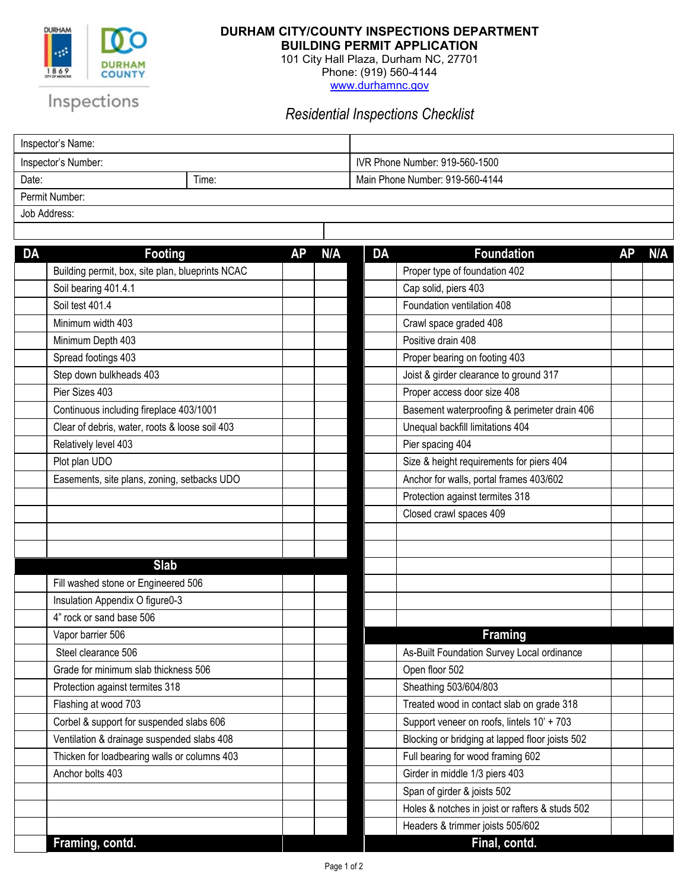

## **DURHAM CITY/COUNTY INSPECTIONS DEPARTMENT**

**BUILDING PERMIT APPLICATION**

101 City Hall Plaza, Durham NC, 27701 Phone: (919) 560-4144 [www.durhamnc.gov](http://www.durhamnc.gov/)

Inspections

*Residential Inspections Checklist*

| Inspector's Name:   |       |                                 |  |  |  |  |
|---------------------|-------|---------------------------------|--|--|--|--|
| Inspector's Number: |       | IVR Phone Number: 919-560-1500  |  |  |  |  |
| Date:               | Time: | Main Phone Number: 919-560-4144 |  |  |  |  |
| Permit Number:      |       |                                 |  |  |  |  |

Job Address:

| <b>DA</b> | <b>Footing</b>                                   | AΡ | N/A | <b>DA</b> | <b>Foundation</b>                               | АΡ | N/A |
|-----------|--------------------------------------------------|----|-----|-----------|-------------------------------------------------|----|-----|
|           | Building permit, box, site plan, blueprints NCAC |    |     |           | Proper type of foundation 402                   |    |     |
|           | Soil bearing 401.4.1                             |    |     |           | Cap solid, piers 403                            |    |     |
|           | Soil test 401.4                                  |    |     |           | Foundation ventilation 408                      |    |     |
|           | Minimum width 403                                |    |     |           | Crawl space graded 408                          |    |     |
|           | Minimum Depth 403                                |    |     |           | Positive drain 408                              |    |     |
|           | Spread footings 403                              |    |     |           | Proper bearing on footing 403                   |    |     |
|           | Step down bulkheads 403                          |    |     |           | Joist & girder clearance to ground 317          |    |     |
|           | Pier Sizes 403                                   |    |     |           | Proper access door size 408                     |    |     |
|           | Continuous including fireplace 403/1001          |    |     |           | Basement waterproofing & perimeter drain 406    |    |     |
|           | Clear of debris, water, roots & loose soil 403   |    |     |           | Unequal backfill limitations 404                |    |     |
|           | Relatively level 403                             |    |     |           | Pier spacing 404                                |    |     |
|           | Plot plan UDO                                    |    |     |           | Size & height requirements for piers 404        |    |     |
|           | Easements, site plans, zoning, setbacks UDO      |    |     |           | Anchor for walls, portal frames 403/602         |    |     |
|           |                                                  |    |     |           | Protection against termites 318                 |    |     |
|           |                                                  |    |     |           | Closed crawl spaces 409                         |    |     |
|           |                                                  |    |     |           |                                                 |    |     |
|           |                                                  |    |     |           |                                                 |    |     |
|           | <b>Slab</b>                                      |    |     |           |                                                 |    |     |
|           | Fill washed stone or Engineered 506              |    |     |           |                                                 |    |     |
|           | Insulation Appendix O figure0-3                  |    |     |           |                                                 |    |     |
|           | 4" rock or sand base 506                         |    |     |           |                                                 |    |     |
|           | Vapor barrier 506                                |    |     |           | <b>Framing</b>                                  |    |     |
|           | Steel clearance 506                              |    |     |           | As-Built Foundation Survey Local ordinance      |    |     |
|           | Grade for minimum slab thickness 506             |    |     |           | Open floor 502                                  |    |     |
|           | Protection against termites 318                  |    |     |           | Sheathing 503/604/803                           |    |     |
|           | Flashing at wood 703                             |    |     |           | Treated wood in contact slab on grade 318       |    |     |
|           | Corbel & support for suspended slabs 606         |    |     |           | Support veneer on roofs, lintels 10' + 703      |    |     |
|           | Ventilation & drainage suspended slabs 408       |    |     |           | Blocking or bridging at lapped floor joists 502 |    |     |
|           | Thicken for loadbearing walls or columns 403     |    |     |           | Full bearing for wood framing 602               |    |     |
|           | Anchor bolts 403                                 |    |     |           | Girder in middle 1/3 piers 403                  |    |     |
|           |                                                  |    |     |           | Span of girder & joists 502                     |    |     |
|           |                                                  |    |     |           | Holes & notches in joist or rafters & studs 502 |    |     |
|           |                                                  |    |     |           | Headers & trimmer joists 505/602                |    |     |
|           | Framing, contd.                                  |    |     |           | Final, contd.                                   |    |     |